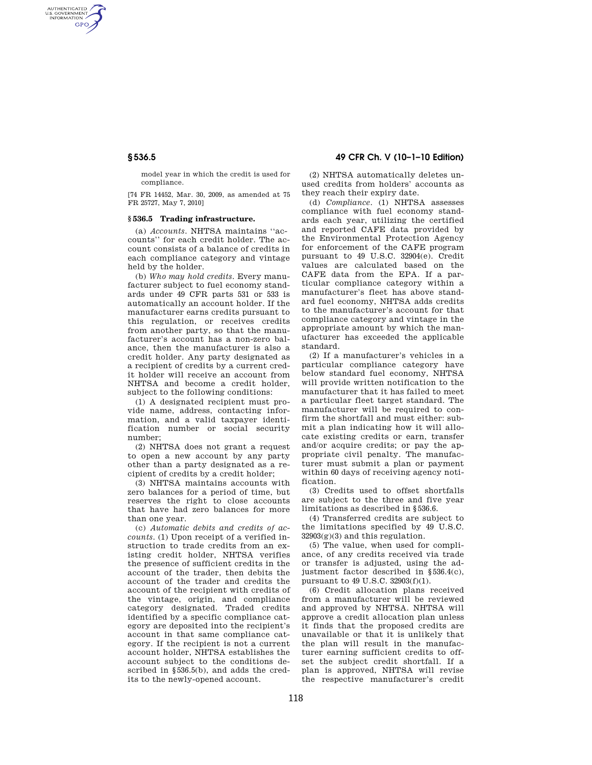AUTHENTICATED<br>U.S. GOVERNMENT<br>INFORMATION **GPO** 

> model year in which the credit is used for compliance.

[74 FR 14452, Mar. 30, 2009, as amended at 75 FR 25727, May 7, 2010]

## **§ 536.5 Trading infrastructure.**

(a) *Accounts*. NHTSA maintains ''accounts'' for each credit holder. The account consists of a balance of credits in each compliance category and vintage held by the holder.

(b) *Who may hold credits*. Every manufacturer subject to fuel economy standards under 49 CFR parts 531 or 533 is automatically an account holder. If the manufacturer earns credits pursuant to this regulation, or receives credits from another party, so that the manufacturer's account has a non-zero balance, then the manufacturer is also a credit holder. Any party designated as a recipient of credits by a current credit holder will receive an account from NHTSA and become a credit holder, subject to the following conditions:

(1) A designated recipient must provide name, address, contacting information, and a valid taxpayer identification number or social security number;

(2) NHTSA does not grant a request to open a new account by any party other than a party designated as a recipient of credits by a credit holder;

(3) NHTSA maintains accounts with zero balances for a period of time, but reserves the right to close accounts that have had zero balances for more than one year.

(c) *Automatic debits and credits of accounts*. (1) Upon receipt of a verified instruction to trade credits from an existing credit holder, NHTSA verifies the presence of sufficient credits in the account of the trader, then debits the account of the trader and credits the account of the recipient with credits of the vintage, origin, and compliance category designated. Traded credits identified by a specific compliance category are deposited into the recipient's account in that same compliance category. If the recipient is not a current account holder, NHTSA establishes the account subject to the conditions described in §536.5(b), and adds the credits to the newly-opened account.

# **§ 536.5 49 CFR Ch. V (10–1–10 Edition)**

(2) NHTSA automatically deletes unused credits from holders' accounts as they reach their expiry date.

(d) *Compliance*. (1) NHTSA assesses compliance with fuel economy standards each year, utilizing the certified and reported CAFE data provided by the Environmental Protection Agency for enforcement of the CAFE program pursuant to 49 U.S.C. 32904(e). Credit values are calculated based on the CAFE data from the EPA. If a particular compliance category within a manufacturer's fleet has above standard fuel economy, NHTSA adds credits to the manufacturer's account for that compliance category and vintage in the appropriate amount by which the manufacturer has exceeded the applicable standard.

(2) If a manufacturer's vehicles in a particular compliance category have below standard fuel economy, NHTSA will provide written notification to the manufacturer that it has failed to meet a particular fleet target standard. The manufacturer will be required to confirm the shortfall and must either: submit a plan indicating how it will allocate existing credits or earn, transfer and/or acquire credits; or pay the appropriate civil penalty. The manufacturer must submit a plan or payment within 60 days of receiving agency notification.

(3) Credits used to offset shortfalls are subject to the three and five year limitations as described in §536.6.

(4) Transferred credits are subject to the limitations specified by 49 U.S.C.  $32903(g)(3)$  and this regulation.

(5) The value, when used for compliance, of any credits received via trade or transfer is adjusted, using the adjustment factor described in §536.4(c), pursuant to 49 U.S.C. 32903(f)(1).

(6) Credit allocation plans received from a manufacturer will be reviewed and approved by NHTSA. NHTSA will approve a credit allocation plan unless it finds that the proposed credits are unavailable or that it is unlikely that the plan will result in the manufacturer earning sufficient credits to offset the subject credit shortfall. If a plan is approved, NHTSA will revise the respective manufacturer's credit